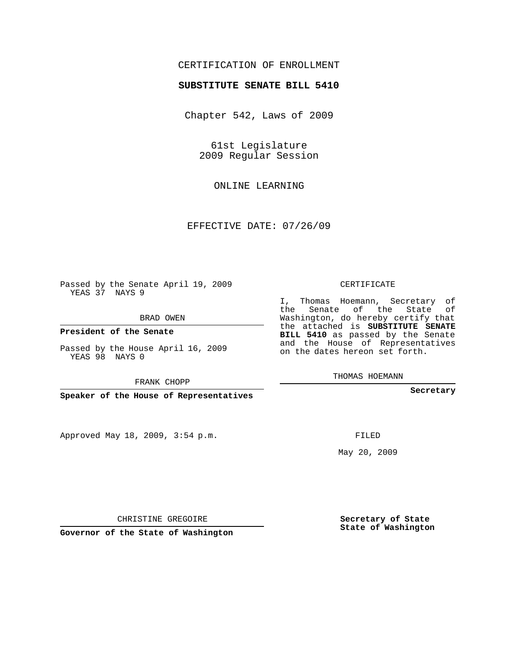## CERTIFICATION OF ENROLLMENT

## **SUBSTITUTE SENATE BILL 5410**

Chapter 542, Laws of 2009

61st Legislature 2009 Regular Session

ONLINE LEARNING

EFFECTIVE DATE: 07/26/09

Passed by the Senate April 19, 2009 YEAS 37 NAYS 9

BRAD OWEN

**President of the Senate**

Passed by the House April 16, 2009 YEAS 98 NAYS 0

FRANK CHOPP

**Speaker of the House of Representatives**

Approved May 18, 2009, 3:54 p.m.

CERTIFICATE

I, Thomas Hoemann, Secretary of the Senate of the State of Washington, do hereby certify that the attached is **SUBSTITUTE SENATE BILL 5410** as passed by the Senate and the House of Representatives on the dates hereon set forth.

THOMAS HOEMANN

**Secretary**

FILED

May 20, 2009

**Secretary of State State of Washington**

CHRISTINE GREGOIRE

**Governor of the State of Washington**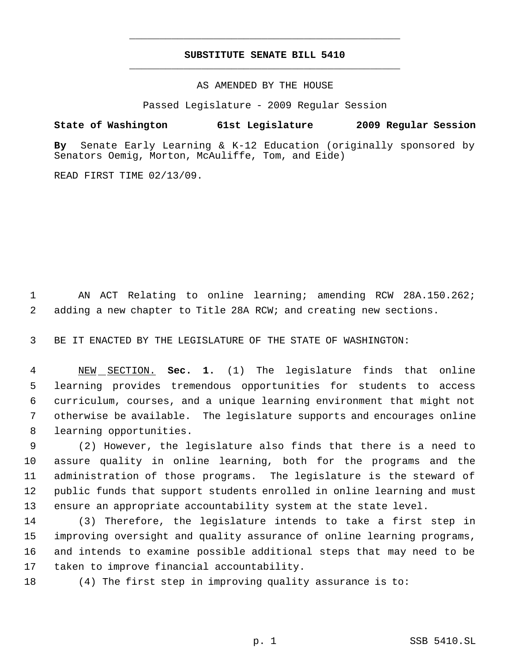## **SUBSTITUTE SENATE BILL 5410** \_\_\_\_\_\_\_\_\_\_\_\_\_\_\_\_\_\_\_\_\_\_\_\_\_\_\_\_\_\_\_\_\_\_\_\_\_\_\_\_\_\_\_\_\_

\_\_\_\_\_\_\_\_\_\_\_\_\_\_\_\_\_\_\_\_\_\_\_\_\_\_\_\_\_\_\_\_\_\_\_\_\_\_\_\_\_\_\_\_\_

AS AMENDED BY THE HOUSE

Passed Legislature - 2009 Regular Session

**State of Washington 61st Legislature 2009 Regular Session**

**By** Senate Early Learning & K-12 Education (originally sponsored by Senators Oemig, Morton, McAuliffe, Tom, and Eide)

READ FIRST TIME 02/13/09.

 AN ACT Relating to online learning; amending RCW 28A.150.262; adding a new chapter to Title 28A RCW; and creating new sections.

BE IT ENACTED BY THE LEGISLATURE OF THE STATE OF WASHINGTON:

 NEW SECTION. **Sec. 1.** (1) The legislature finds that online learning provides tremendous opportunities for students to access curriculum, courses, and a unique learning environment that might not otherwise be available. The legislature supports and encourages online learning opportunities.

 (2) However, the legislature also finds that there is a need to assure quality in online learning, both for the programs and the administration of those programs. The legislature is the steward of public funds that support students enrolled in online learning and must ensure an appropriate accountability system at the state level.

 (3) Therefore, the legislature intends to take a first step in improving oversight and quality assurance of online learning programs, and intends to examine possible additional steps that may need to be taken to improve financial accountability.

(4) The first step in improving quality assurance is to: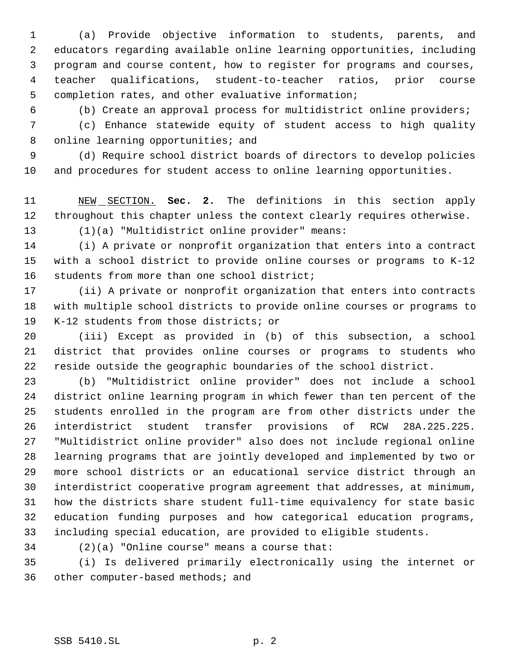(a) Provide objective information to students, parents, and educators regarding available online learning opportunities, including program and course content, how to register for programs and courses, teacher qualifications, student-to-teacher ratios, prior course completion rates, and other evaluative information;

(b) Create an approval process for multidistrict online providers;

 (c) Enhance statewide equity of student access to high quality 8 online learning opportunities; and

 (d) Require school district boards of directors to develop policies and procedures for student access to online learning opportunities.

 NEW SECTION. **Sec. 2.** The definitions in this section apply throughout this chapter unless the context clearly requires otherwise. (1)(a) "Multidistrict online provider" means:

 (i) A private or nonprofit organization that enters into a contract with a school district to provide online courses or programs to K-12 students from more than one school district;

 (ii) A private or nonprofit organization that enters into contracts with multiple school districts to provide online courses or programs to K-12 students from those districts; or

 (iii) Except as provided in (b) of this subsection, a school district that provides online courses or programs to students who reside outside the geographic boundaries of the school district.

 (b) "Multidistrict online provider" does not include a school district online learning program in which fewer than ten percent of the students enrolled in the program are from other districts under the interdistrict student transfer provisions of RCW 28A.225.225. "Multidistrict online provider" also does not include regional online learning programs that are jointly developed and implemented by two or more school districts or an educational service district through an interdistrict cooperative program agreement that addresses, at minimum, how the districts share student full-time equivalency for state basic education funding purposes and how categorical education programs, including special education, are provided to eligible students.

(2)(a) "Online course" means a course that:

 (i) Is delivered primarily electronically using the internet or other computer-based methods; and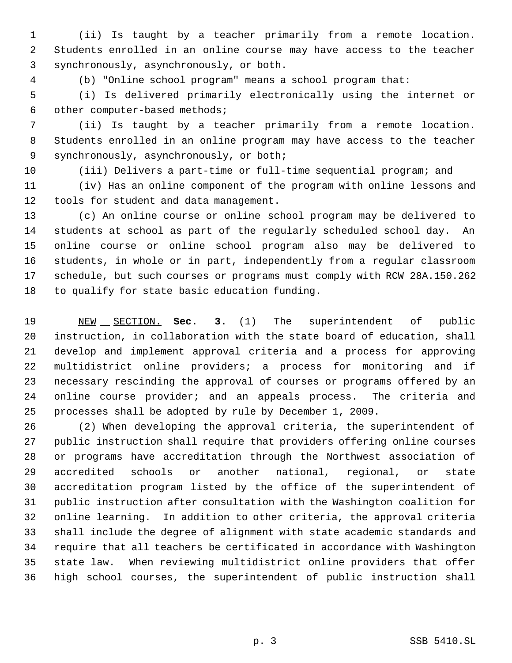(ii) Is taught by a teacher primarily from a remote location. Students enrolled in an online course may have access to the teacher synchronously, asynchronously, or both.

(b) "Online school program" means a school program that:

 (i) Is delivered primarily electronically using the internet or other computer-based methods;

 (ii) Is taught by a teacher primarily from a remote location. Students enrolled in an online program may have access to the teacher synchronously, asynchronously, or both;

(iii) Delivers a part-time or full-time sequential program; and

 (iv) Has an online component of the program with online lessons and tools for student and data management.

 (c) An online course or online school program may be delivered to students at school as part of the regularly scheduled school day. An online course or online school program also may be delivered to students, in whole or in part, independently from a regular classroom schedule, but such courses or programs must comply with RCW 28A.150.262 to qualify for state basic education funding.

 NEW SECTION. **Sec. 3.** (1) The superintendent of public instruction, in collaboration with the state board of education, shall develop and implement approval criteria and a process for approving multidistrict online providers; a process for monitoring and if necessary rescinding the approval of courses or programs offered by an online course provider; and an appeals process. The criteria and processes shall be adopted by rule by December 1, 2009.

 (2) When developing the approval criteria, the superintendent of public instruction shall require that providers offering online courses or programs have accreditation through the Northwest association of accredited schools or another national, regional, or state accreditation program listed by the office of the superintendent of public instruction after consultation with the Washington coalition for online learning. In addition to other criteria, the approval criteria shall include the degree of alignment with state academic standards and require that all teachers be certificated in accordance with Washington state law. When reviewing multidistrict online providers that offer high school courses, the superintendent of public instruction shall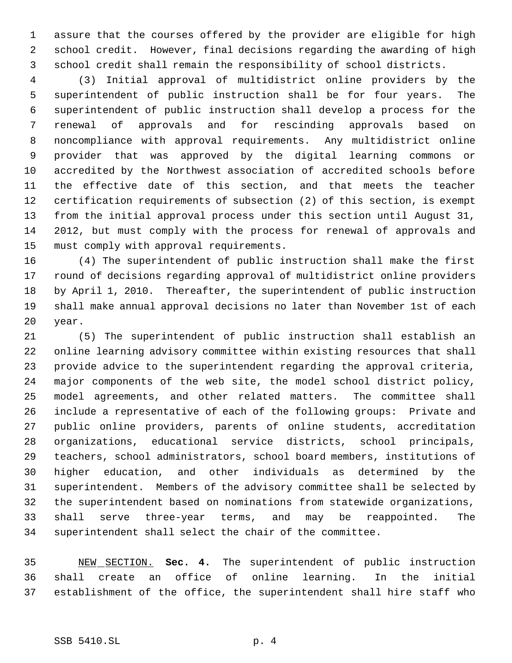assure that the courses offered by the provider are eligible for high school credit. However, final decisions regarding the awarding of high school credit shall remain the responsibility of school districts.

 (3) Initial approval of multidistrict online providers by the superintendent of public instruction shall be for four years. The superintendent of public instruction shall develop a process for the renewal of approvals and for rescinding approvals based on noncompliance with approval requirements. Any multidistrict online provider that was approved by the digital learning commons or accredited by the Northwest association of accredited schools before the effective date of this section, and that meets the teacher certification requirements of subsection (2) of this section, is exempt from the initial approval process under this section until August 31, 2012, but must comply with the process for renewal of approvals and must comply with approval requirements.

 (4) The superintendent of public instruction shall make the first round of decisions regarding approval of multidistrict online providers by April 1, 2010. Thereafter, the superintendent of public instruction shall make annual approval decisions no later than November 1st of each year.

 (5) The superintendent of public instruction shall establish an online learning advisory committee within existing resources that shall provide advice to the superintendent regarding the approval criteria, major components of the web site, the model school district policy, model agreements, and other related matters. The committee shall include a representative of each of the following groups: Private and public online providers, parents of online students, accreditation organizations, educational service districts, school principals, teachers, school administrators, school board members, institutions of higher education, and other individuals as determined by the superintendent. Members of the advisory committee shall be selected by the superintendent based on nominations from statewide organizations, shall serve three-year terms, and may be reappointed. The superintendent shall select the chair of the committee.

 NEW SECTION. **Sec. 4.** The superintendent of public instruction shall create an office of online learning. In the initial establishment of the office, the superintendent shall hire staff who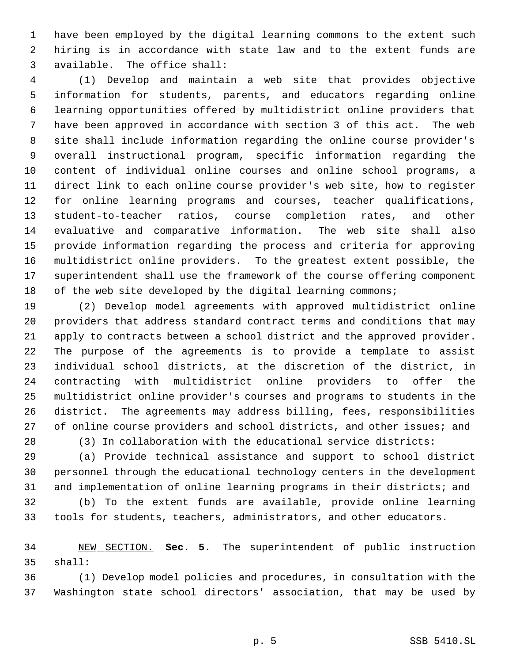have been employed by the digital learning commons to the extent such hiring is in accordance with state law and to the extent funds are available. The office shall:

 (1) Develop and maintain a web site that provides objective information for students, parents, and educators regarding online learning opportunities offered by multidistrict online providers that have been approved in accordance with section 3 of this act. The web site shall include information regarding the online course provider's overall instructional program, specific information regarding the content of individual online courses and online school programs, a direct link to each online course provider's web site, how to register for online learning programs and courses, teacher qualifications, student-to-teacher ratios, course completion rates, and other evaluative and comparative information. The web site shall also provide information regarding the process and criteria for approving multidistrict online providers. To the greatest extent possible, the superintendent shall use the framework of the course offering component 18 of the web site developed by the digital learning commons;

 (2) Develop model agreements with approved multidistrict online providers that address standard contract terms and conditions that may apply to contracts between a school district and the approved provider. The purpose of the agreements is to provide a template to assist individual school districts, at the discretion of the district, in contracting with multidistrict online providers to offer the multidistrict online provider's courses and programs to students in the district. The agreements may address billing, fees, responsibilities 27 of online course providers and school districts, and other issues; and

(3) In collaboration with the educational service districts:

 (a) Provide technical assistance and support to school district personnel through the educational technology centers in the development and implementation of online learning programs in their districts; and

 (b) To the extent funds are available, provide online learning tools for students, teachers, administrators, and other educators.

 NEW SECTION. **Sec. 5.** The superintendent of public instruction shall:

 (1) Develop model policies and procedures, in consultation with the Washington state school directors' association, that may be used by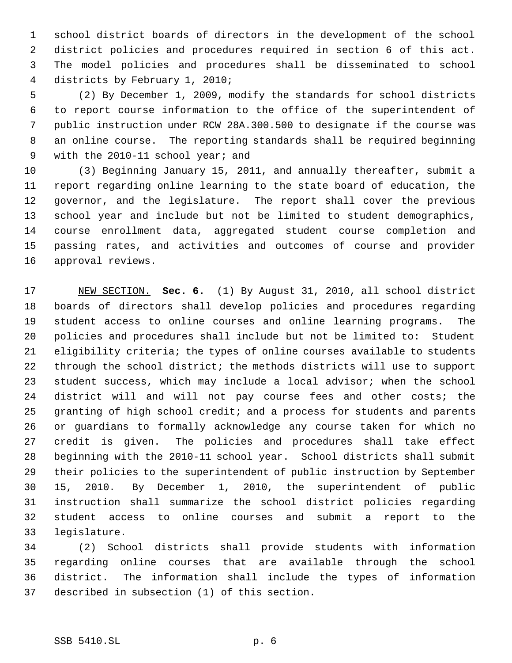school district boards of directors in the development of the school district policies and procedures required in section 6 of this act. The model policies and procedures shall be disseminated to school districts by February 1, 2010;

 (2) By December 1, 2009, modify the standards for school districts to report course information to the office of the superintendent of public instruction under RCW 28A.300.500 to designate if the course was an online course. The reporting standards shall be required beginning 9 with the 2010-11 school year; and

 (3) Beginning January 15, 2011, and annually thereafter, submit a report regarding online learning to the state board of education, the governor, and the legislature. The report shall cover the previous school year and include but not be limited to student demographics, course enrollment data, aggregated student course completion and passing rates, and activities and outcomes of course and provider approval reviews.

 NEW SECTION. **Sec. 6.** (1) By August 31, 2010, all school district boards of directors shall develop policies and procedures regarding student access to online courses and online learning programs. The policies and procedures shall include but not be limited to: Student eligibility criteria; the types of online courses available to students through the school district; the methods districts will use to support student success, which may include a local advisor; when the school district will and will not pay course fees and other costs; the granting of high school credit; and a process for students and parents or guardians to formally acknowledge any course taken for which no credit is given. The policies and procedures shall take effect beginning with the 2010-11 school year. School districts shall submit their policies to the superintendent of public instruction by September 15, 2010. By December 1, 2010, the superintendent of public instruction shall summarize the school district policies regarding student access to online courses and submit a report to the legislature.

 (2) School districts shall provide students with information regarding online courses that are available through the school district. The information shall include the types of information described in subsection (1) of this section.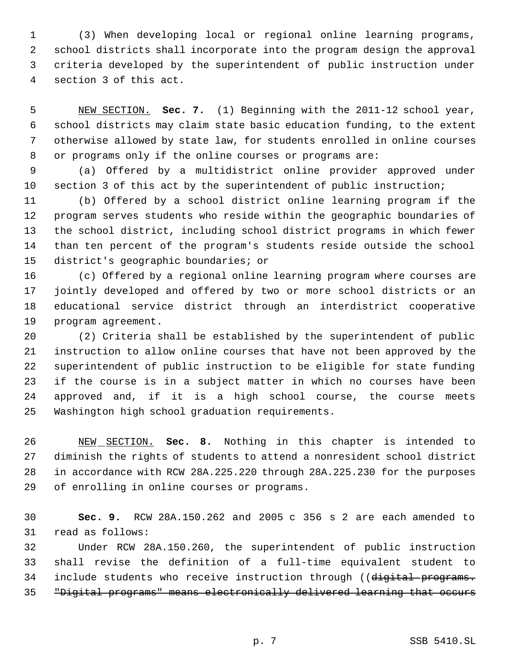(3) When developing local or regional online learning programs, school districts shall incorporate into the program design the approval criteria developed by the superintendent of public instruction under section 3 of this act.

 NEW SECTION. **Sec. 7.** (1) Beginning with the 2011-12 school year, school districts may claim state basic education funding, to the extent otherwise allowed by state law, for students enrolled in online courses or programs only if the online courses or programs are:

 (a) Offered by a multidistrict online provider approved under section 3 of this act by the superintendent of public instruction;

 (b) Offered by a school district online learning program if the program serves students who reside within the geographic boundaries of the school district, including school district programs in which fewer than ten percent of the program's students reside outside the school district's geographic boundaries; or

 (c) Offered by a regional online learning program where courses are jointly developed and offered by two or more school districts or an educational service district through an interdistrict cooperative program agreement.

 (2) Criteria shall be established by the superintendent of public instruction to allow online courses that have not been approved by the superintendent of public instruction to be eligible for state funding if the course is in a subject matter in which no courses have been approved and, if it is a high school course, the course meets Washington high school graduation requirements.

 NEW SECTION. **Sec. 8.** Nothing in this chapter is intended to diminish the rights of students to attend a nonresident school district in accordance with RCW 28A.225.220 through 28A.225.230 for the purposes of enrolling in online courses or programs.

 **Sec. 9.** RCW 28A.150.262 and 2005 c 356 s 2 are each amended to read as follows:

 Under RCW 28A.150.260, the superintendent of public instruction shall revise the definition of a full-time equivalent student to 34 include students who receive instruction through ((digital programs. "Digital programs" means electronically delivered learning that occurs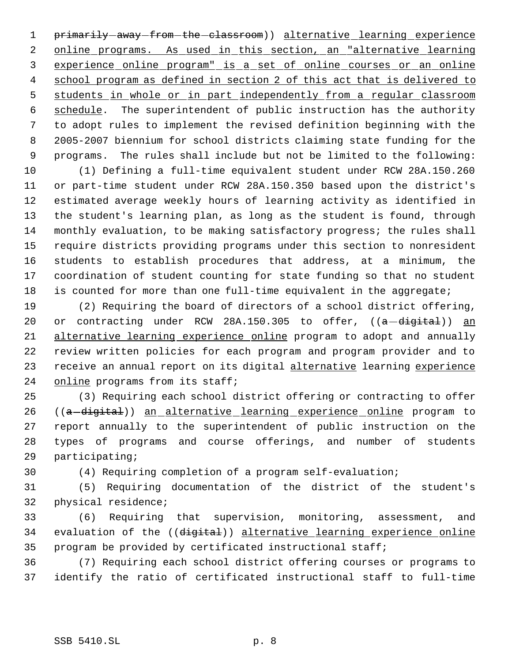1 primarily-away-from-the-classroom) alternative learning experience 2 online programs. As used in this section, an "alternative learning experience online program" is a set of online courses or an online school program as defined in section 2 of this act that is delivered to students in whole or in part independently from a regular classroom schedule. The superintendent of public instruction has the authority to adopt rules to implement the revised definition beginning with the 2005-2007 biennium for school districts claiming state funding for the programs. The rules shall include but not be limited to the following:

 (1) Defining a full-time equivalent student under RCW 28A.150.260 or part-time student under RCW 28A.150.350 based upon the district's estimated average weekly hours of learning activity as identified in the student's learning plan, as long as the student is found, through monthly evaluation, to be making satisfactory progress; the rules shall require districts providing programs under this section to nonresident students to establish procedures that address, at a minimum, the coordination of student counting for state funding so that no student is counted for more than one full-time equivalent in the aggregate;

 (2) Requiring the board of directors of a school district offering, 20 or contracting under RCW 28A.150.305 to offer,  $((a - digital))$  an alternative learning experience online program to adopt and annually review written policies for each program and program provider and to 23 receive an annual report on its digital alternative learning experience 24 online programs from its staff;

 (3) Requiring each school district offering or contracting to offer 26 ((a-digital)) an alternative learning experience online program to report annually to the superintendent of public instruction on the types of programs and course offerings, and number of students participating;

(4) Requiring completion of a program self-evaluation;

 (5) Requiring documentation of the district of the student's physical residence;

 (6) Requiring that supervision, monitoring, assessment, and 34 evaluation of the ((digital)) alternative learning experience online program be provided by certificated instructional staff;

 (7) Requiring each school district offering courses or programs to identify the ratio of certificated instructional staff to full-time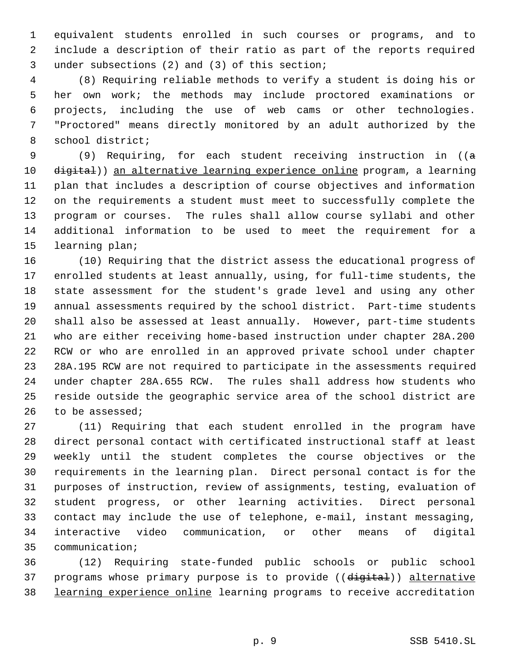equivalent students enrolled in such courses or programs, and to include a description of their ratio as part of the reports required under subsections (2) and (3) of this section;

 (8) Requiring reliable methods to verify a student is doing his or her own work; the methods may include proctored examinations or projects, including the use of web cams or other technologies. "Proctored" means directly monitored by an adult authorized by the school district;

9 (9) Requiring, for each student receiving instruction in ((a 10 digital)) an alternative learning experience online program, a learning plan that includes a description of course objectives and information on the requirements a student must meet to successfully complete the program or courses. The rules shall allow course syllabi and other additional information to be used to meet the requirement for a learning plan;

 (10) Requiring that the district assess the educational progress of enrolled students at least annually, using, for full-time students, the state assessment for the student's grade level and using any other annual assessments required by the school district. Part-time students shall also be assessed at least annually. However, part-time students who are either receiving home-based instruction under chapter 28A.200 RCW or who are enrolled in an approved private school under chapter 28A.195 RCW are not required to participate in the assessments required under chapter 28A.655 RCW. The rules shall address how students who reside outside the geographic service area of the school district are 26 to be assessed;

 (11) Requiring that each student enrolled in the program have direct personal contact with certificated instructional staff at least weekly until the student completes the course objectives or the requirements in the learning plan. Direct personal contact is for the purposes of instruction, review of assignments, testing, evaluation of student progress, or other learning activities. Direct personal contact may include the use of telephone, e-mail, instant messaging, interactive video communication, or other means of digital communication;

 (12) Requiring state-funded public schools or public school 37 programs whose primary purpose is to provide ((digital)) alternative learning experience online learning programs to receive accreditation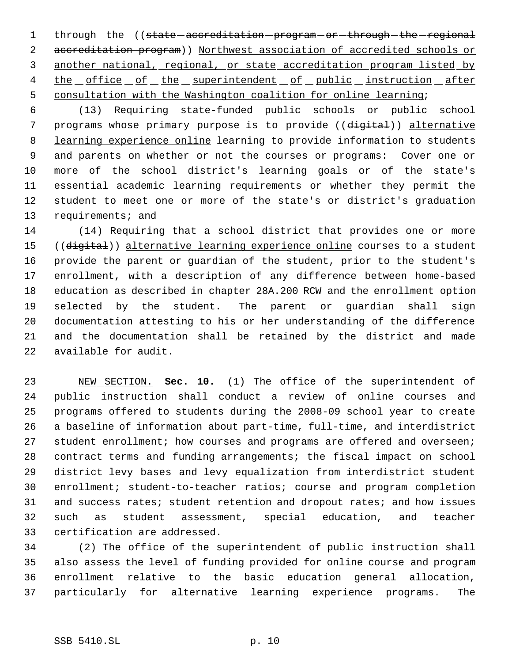1 through the ((state-accreditation-program-or-through-the-regional accreditation program)) Northwest association of accredited schools or another national, regional, or state accreditation program listed by 4 the office of the superintendent of public instruction after consultation with the Washington coalition for online learning;

 (13) Requiring state-funded public schools or public school 7 programs whose primary purpose is to provide ((digital)) alternative learning experience online learning to provide information to students and parents on whether or not the courses or programs: Cover one or more of the school district's learning goals or of the state's essential academic learning requirements or whether they permit the student to meet one or more of the state's or district's graduation requirements; and

 (14) Requiring that a school district that provides one or more 15 ((digital)) alternative learning experience online courses to a student provide the parent or guardian of the student, prior to the student's enrollment, with a description of any difference between home-based education as described in chapter 28A.200 RCW and the enrollment option selected by the student. The parent or guardian shall sign documentation attesting to his or her understanding of the difference and the documentation shall be retained by the district and made available for audit.

 NEW SECTION. **Sec. 10.** (1) The office of the superintendent of public instruction shall conduct a review of online courses and programs offered to students during the 2008-09 school year to create a baseline of information about part-time, full-time, and interdistrict 27 student enrollment; how courses and programs are offered and overseen; contract terms and funding arrangements; the fiscal impact on school district levy bases and levy equalization from interdistrict student enrollment; student-to-teacher ratios; course and program completion 31 and success rates; student retention and dropout rates; and how issues such as student assessment, special education, and teacher certification are addressed.

 (2) The office of the superintendent of public instruction shall also assess the level of funding provided for online course and program enrollment relative to the basic education general allocation, particularly for alternative learning experience programs. The